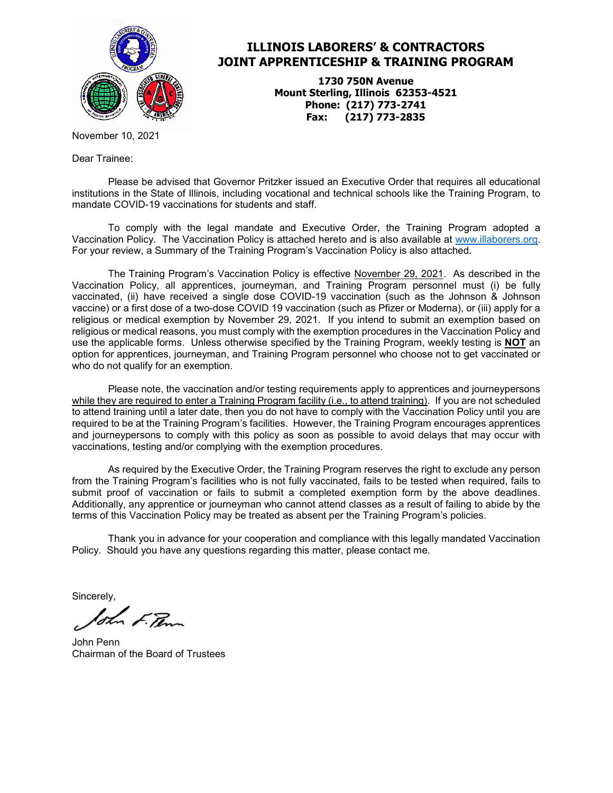

# **ILLINOIS LABORERS' & CONTRACTORS JOINT APPRENTICESHIP & TRAINING PROGRAM**

**1730 750N Avenue Mount Sterling, Illinois 62353-4521 Phone: (217) 773-2741 Fax: (217) 773-2835**

November 10, 2021

Dear Trainee:

Please be advised that Governor Pritzker issued an Executive Order that requires all educational institutions in the State of Illinois, including vocational and technical schools like the Training Program, to mandate COVID-19 vaccinations for students and staff.

To comply with the legal mandate and Executive Order, the Training Program adopted a Vaccination Policy. The Vaccination Policy is attached hereto and is also available at [www.illaborers.org.](http://www.illaborers.org/) For your review, a Summary of the Training Program's Vaccination Policy is also attached.

The Training Program's Vaccination Policy is effective November 29, 2021. As described in the Vaccination Policy, all apprentices, journeyman, and Training Program personnel must (i) be fully vaccinated, (ii) have received a single dose COVID-19 vaccination (such as the Johnson & Johnson vaccine) or a first dose of a two-dose COVID 19 vaccination (such as Pfizer or Moderna), or (iii) apply for a religious or medical exemption by November 29, 2021. If you intend to submit an exemption based on religious or medical reasons, you must comply with the exemption procedures in the Vaccination Policy and use the applicable forms. Unless otherwise specified by the Training Program, weekly testing is **NOT** an option for apprentices, journeyman, and Training Program personnel who choose not to get vaccinated or who do not qualify for an exemption.

Please note, the vaccination and/or testing requirements apply to apprentices and journeypersons while they are required to enter a Training Program facility (i.e., to attend training). If you are not scheduled to attend training until a later date, then you do not have to comply with the Vaccination Policy until you are required to be at the Training Program's facilities. However, the Training Program encourages apprentices and journeypersons to comply with this policy as soon as possible to avoid delays that may occur with vaccinations, testing and/or complying with the exemption procedures.

As required by the Executive Order, the Training Program reserves the right to exclude any person from the Training Program's facilities who is not fully vaccinated, fails to be tested when required, fails to submit proof of vaccination or fails to submit a completed exemption form by the above deadlines. Additionally, any apprentice or journeyman who cannot attend classes as a result of failing to abide by the terms of this Vaccination Policy may be treated as absent per the Training Program's policies.

Thank you in advance for your cooperation and compliance with this legally mandated Vaccination Policy. Should you have any questions regarding this matter, please contact me.

Sincerely,

the F. Penn

John Penn Chairman of the Board of Trustees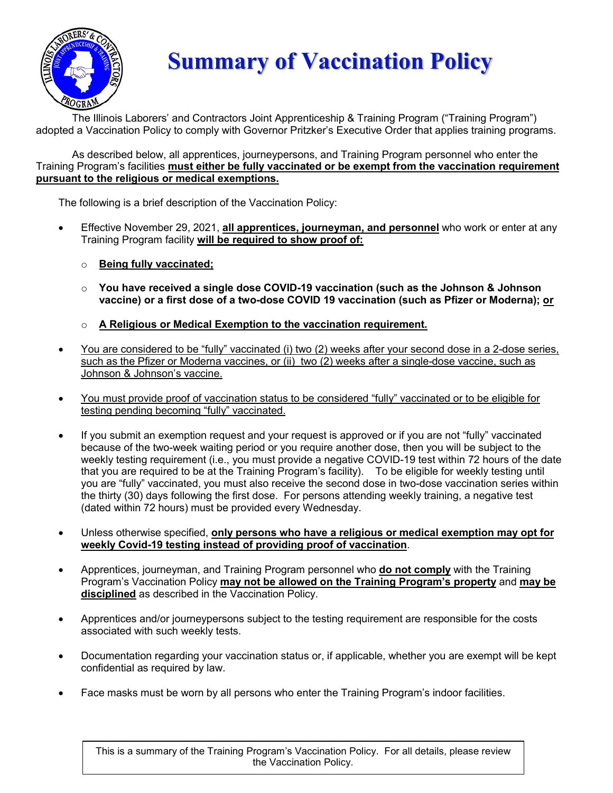

# **Summary of Vaccination Policy**

The Illinois Laborers' and Contractors Joint Apprenticeship & Training Program ("Training Program") adopted a Vaccination Policy to comply with Governor Pritzker's Executive Order that applies training programs.

As described below, all apprentices, journeypersons, and Training Program personnel who enter the Training Program's facilities **must either be fully vaccinated or be exempt from the vaccination requirement pursuant to the religious or medical exemptions.**

The following is a brief description of the Vaccination Policy:

- Effective November 29, 2021, **all apprentices, journeyman, and personnel** who work or enter at any Training Program facility **will be required to show proof of:**
	- o **Being fully vaccinated;**
	- o **You have received a single dose COVID-19 vaccination (such as the Johnson & Johnson vaccine) or a first dose of a two-dose COVID 19 vaccination (such as Pfizer or Moderna); or**
	- o **A Religious or Medical Exemption to the vaccination requirement.**
- You are considered to be "fully" vaccinated (i) two (2) weeks after your second dose in a 2-dose series, such as the Pfizer or Moderna vaccines, or (ii) two (2) weeks after a single-dose vaccine, such as Johnson & Johnson's vaccine.
- You must provide proof of vaccination status to be considered "fully" vaccinated or to be eligible for testing pending becoming "fully" vaccinated.
- If you submit an exemption request and your request is approved or if you are not "fully" vaccinated because of the two-week waiting period or you require another dose, then you will be subject to the weekly testing requirement (i.e., you must provide a negative COVID-19 test within 72 hours of the date that you are required to be at the Training Program's facility). To be eligible for weekly testing until you are "fully" vaccinated, you must also receive the second dose in two-dose vaccination series within the thirty (30) days following the first dose. For persons attending weekly training, a negative test (dated within 72 hours) must be provided every Wednesday.
- Unless otherwise specified, **only persons who have a religious or medical exemption may opt for weekly Covid-19 testing instead of providing proof of vaccination**.
- Apprentices, journeyman, and Training Program personnel who **do not comply** with the Training Program's Vaccination Policy **may not be allowed on the Training Program's property** and **may be disciplined** as described in the Vaccination Policy.
- Apprentices and/or journeypersons subject to the testing requirement are responsible for the costs associated with such weekly tests.
- Documentation regarding your vaccination status or, if applicable, whether you are exempt will be kept confidential as required by law.
- Face masks must be worn by all persons who enter the Training Program's indoor facilities.

This is a summary of the Training Program's Vaccination Policy. For all details, please review the Vaccination Policy.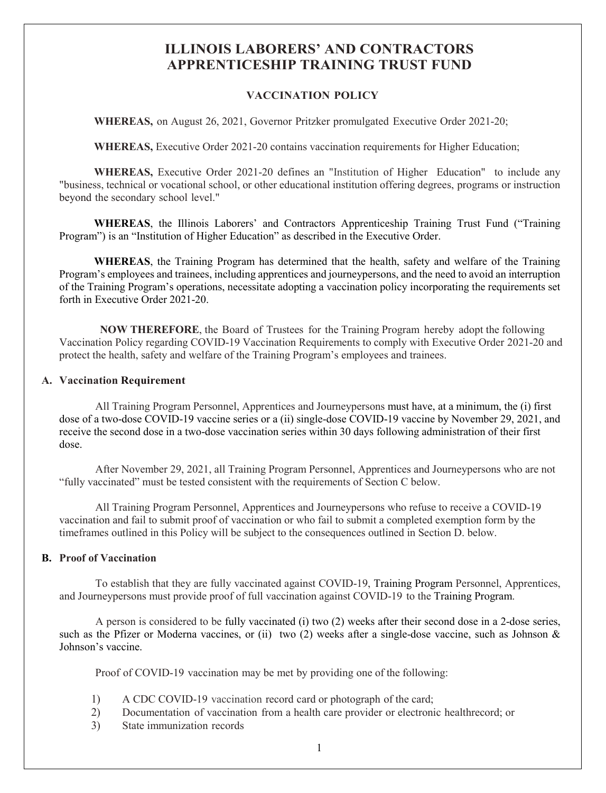# **ILLINOIS LABORERS' AND CONTRACTORS APPRENTICESHIP TRAINING TRUST FUND**

#### **VACCINATION POLICY**

**WHEREAS,** on August 26, 2021, Governor Pritzker promulgated Executive Order 2021-20;

**WHEREAS,** Executive Order 2021-20 contains vaccination requirements for Higher Education;

**WHEREAS,** Executive Order 2021-20 defines an "Institution of Higher Education" to include any "business, technical or vocational school, or other educational institution offering degrees, programs or instruction beyond the secondary school level."

**WHEREAS**, the Illinois Laborers' and Contractors Apprenticeship Training Trust Fund ("Training Program") is an "Institution of Higher Education" as described in the Executive Order.

**WHEREAS**, the Training Program has determined that the health, safety and welfare of the Training Program's employees and trainees, including apprentices and journeypersons, and the need to avoid an interruption of the Training Program's operations, necessitate adopting a vaccination policy incorporating the requirements set forth in Executive Order 2021-20.

**NOW THEREFORE**, the Board of Trustees for the Training Program hereby adopt the following Vaccination Policy regarding COVID-19 Vaccination Requirements to comply with Executive Order 2021-20 and protect the health, safety and welfare of the Training Program's employees and trainees.

#### **A. Vaccination Requirement**

All Training Program Personnel, Apprentices and Journeypersons must have, at a minimum, the (i) first dose of a two-dose COVID-19 vaccine series or a (ii) single-dose COVID-19 vaccine by November 29, 2021, and receive the second dose in a two-dose vaccination series within 30 days following administration of their first dose.

After November 29, 2021, all Training Program Personnel, Apprentices and Journeypersons who are not "fully vaccinated" must be tested consistent with the requirements of Section C below.

All Training Program Personnel, Apprentices and Journeypersons who refuse to receive a COVID-19 vaccination and fail to submit proof of vaccination or who fail to submit a completed exemption form by the timeframes outlined in this Policy will be subject to the consequences outlined in Section D. below.

#### **B. Proof of Vaccination**

To establish that they are fully vaccinated against COVID-19, Training Program Personnel, Apprentices, and Journeypersons must provide proof of full vaccination against COVID-19 to the Training Program.

A person is considered to be fully vaccinated (i) two (2) weeks after their second dose in a 2-dose series, such as the Pfizer or Moderna vaccines, or (ii) two (2) weeks after a single-dose vaccine, such as Johnson & Johnson's vaccine.

Proof of COVID-19 vaccination may be met by providing one of the following:

- 1) A CDC COVID-19 vaccination record card or photograph of the card;
- 2) Documentation of vaccination from a health care provider or electronic healthrecord; or
- 3) State immunization records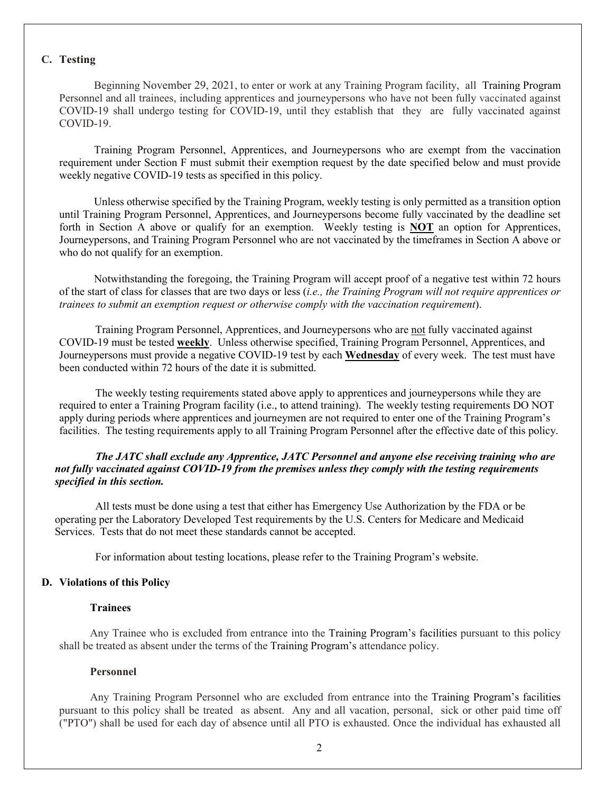#### **C. Testing**

Beginning November 29, 2021, to enter or work at any Training Program facility, all Training Program Personnel and all trainees, including apprentices and journeypersons who have not been fully vaccinated against COVID-19 shall undergo testing for COVID-19, until they establish that they are fully vaccinated against COVID-19.

Training Program Personnel, Apprentices, and Journeypersons who are exempt from the vaccination requirement under Section F must submit their exemption request by the date specified below and must provide weekly negative COVID-19 tests as specified in this policy.

Unless otherwise specified by the Training Program, weekly testing is only permitted as a transition option until Training Program Personnel, Apprentices, and Journeypersons become fully vaccinated by the deadline set forth in Section A above or qualify for an exemption. Weekly testing is **NOT** an option for Apprentices, Journeypersons, and Training Program Personnel who are not vaccinated by the timeframes in Section A above or who do not qualify for an exemption.

Notwithstanding the foregoing, the Training Program will accept proof of a negative test within 72 hours of the start of class for classes that are two days or less (*i.e., the Training Program will not require apprentices or trainees to submit an exemption request or otherwise comply with the vaccination requirement*).

Training Program Personnel, Apprentices, and Journeypersons who are not fully vaccinated against COVID-19 must be tested **weekly**. Unless otherwise specified, Training Program Personnel, Apprentices, and Journeypersons must provide a negative COVID-19 test by each **Wednesday** of every week. The test must have been conducted within 72 hours of the date it is submitted.

The weekly testing requirements stated above apply to apprentices and journeypersons while they are required to enter a Training Program facility (i.e., to attend training). The weekly testing requirements DO NOT apply during periods where apprentices and journeymen are not required to enter one of the Training Program's facilities. The testing requirements apply to all Training Program Personnel after the effective date of this policy.

*The JATC shall exclude any Apprentice, JATC Personnel and anyone else receiving training who are not fully vaccinated against COVID-19 from the premises unless they comply with the testing requirements specified in this section.*

All tests must be done using a test that either has Emergency Use Authorization by the FDA or be operating per the Laboratory Developed Test requirements by the U.S. Centers for Medicare and Medicaid Services. Tests that do not meet these standards cannot be accepted.

For information about testing locations, please refer to the Training Program's website.

#### **D. Violations of this Policy**

#### **Trainees**

Any Trainee who is excluded from entrance into the Training Program's facilities pursuant to this policy shall be treated as absent under the terms of the Training Program's attendance policy.

#### **Personnel**

Any Training Program Personnel who are excluded from entrance into the Training Program's facilities pursuant to this policy shall be treated as absent. Any and all vacation, personal, sick or other paid time off ("PTO") shall be used for each day of absence until all PTO is exhausted. Once the individual has exhausted all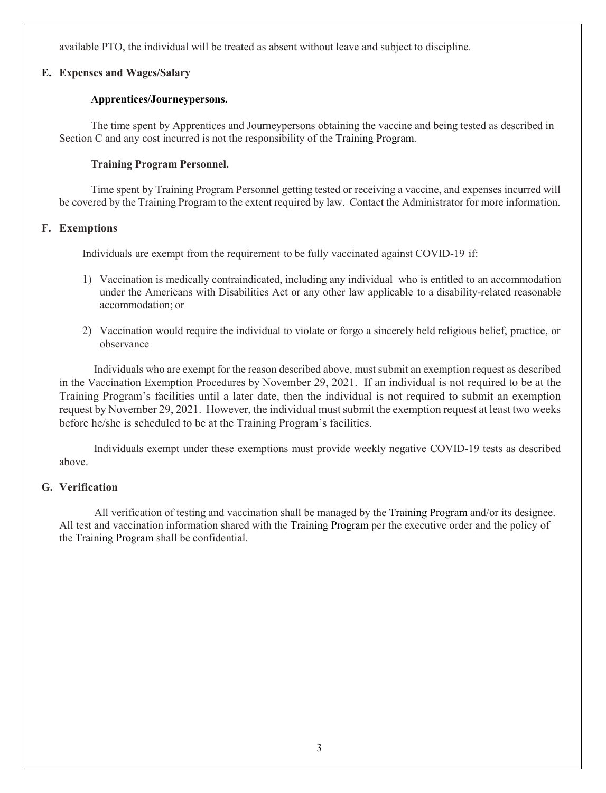available PTO, the individual will be treated as absent without leave and subject to discipline.

#### **E. Expenses and Wages/Salary**

#### **Apprentices/Journeypersons.**

The time spent by Apprentices and Journeypersons obtaining the vaccine and being tested as described in Section C and any cost incurred is not the responsibility of the Training Program.

#### **Training Program Personnel.**

Time spent by Training Program Personnel getting tested or receiving a vaccine, and expenses incurred will be covered by the Training Program to the extent required by law. Contact the Administrator for more information.

#### **F. Exemptions**

Individuals are exempt from the requirement to be fully vaccinated against COVID-19 if:

- 1) Vaccination is medically contraindicated, including any individual who is entitled to an accommodation under the Americans with Disabilities Act or any other law applicable to a disability-related reasonable accommodation; or
- 2) Vaccination would require the individual to violate or forgo a sincerely held religious belief, practice, or observance

Individuals who are exempt for the reason described above, must submit an exemption request as described in the Vaccination Exemption Procedures by November 29, 2021. If an individual is not required to be at the Training Program's facilities until a later date, then the individual is not required to submit an exemption request by November 29, 2021. However, the individual must submit the exemption request at least two weeks before he/she is scheduled to be at the Training Program's facilities.

Individuals exempt under these exemptions must provide weekly negative COVID-19 tests as described above.

### **G. Verification**

All verification of testing and vaccination shall be managed by the Training Program and/or its designee. All test and vaccination information shared with the Training Program per the executive order and the policy of the Training Program shall be confidential.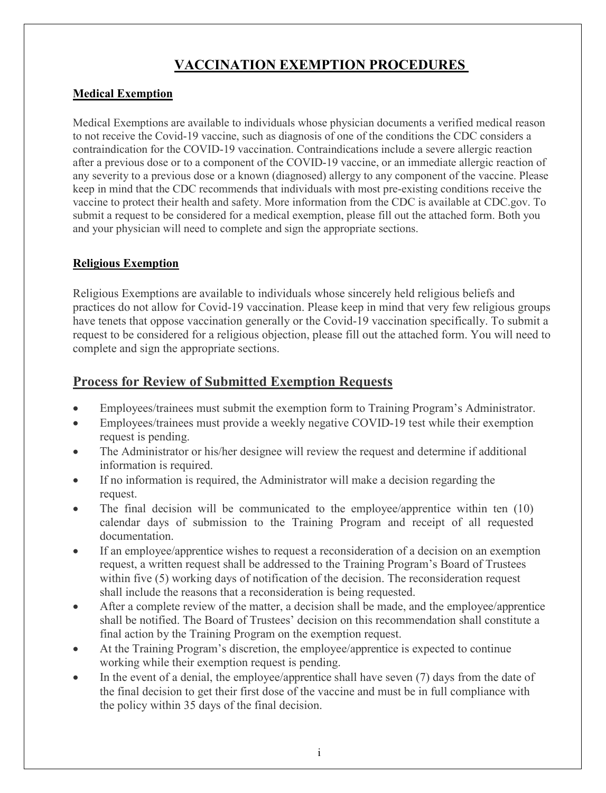# **VACCINATION EXEMPTION PROCEDURES**

# **Medical Exemption**

Medical Exemptions are available to individuals whose physician documents a verified medical reason to not receive the Covid-19 vaccine, such as diagnosis of one of the conditions the CDC considers a contraindication for the COVID-19 vaccination. Contraindications include a severe allergic reaction after a previous dose or to a component of the COVID-19 vaccine, or an immediate allergic reaction of any severity to a previous dose or a known (diagnosed) allergy to any component of the vaccine. Please keep in mind that the CDC recommends that individuals with most pre-existing conditions receive the vaccine to protect their health and safety. More information from the CDC is available at CDC.gov. To submit a request to be considered for a medical exemption, please fill out the attached form. Both you and your physician will need to complete and sign the appropriate sections.

# **Religious Exemption**

Religious Exemptions are available to individuals whose sincerely held religious beliefs and practices do not allow for Covid-19 vaccination. Please keep in mind that very few religious groups have tenets that oppose vaccination generally or the Covid-19 vaccination specifically. To submit a request to be considered for a religious objection, please fill out the attached form. You will need to complete and sign the appropriate sections.

# **Process for Review of Submitted Exemption Requests**

- Employees/trainees must submit the exemption form to Training Program's Administrator.
- Employees/trainees must provide a weekly negative COVID-19 test while their exemption request is pending.
- The Administrator or his/her designee will review the request and determine if additional information is required.
- If no information is required, the Administrator will make a decision regarding the request.
- The final decision will be communicated to the employee/apprentice within ten  $(10)$ calendar days of submission to the Training Program and receipt of all requested documentation.
- If an employee/apprentice wishes to request a reconsideration of a decision on an exemption request, a written request shall be addressed to the Training Program's Board of Trustees within five (5) working days of notification of the decision. The reconsideration request shall include the reasons that a reconsideration is being requested.
- After a complete review of the matter, a decision shall be made, and the employee/apprentice shall be notified. The Board of Trustees' decision on this recommendation shall constitute a final action by the Training Program on the exemption request.
- At the Training Program's discretion, the employee/apprentice is expected to continue working while their exemption request is pending.
- In the event of a denial, the employee/apprentice shall have seven (7) days from the date of the final decision to get their first dose of the vaccine and must be in full compliance with the policy within 35 days of the final decision.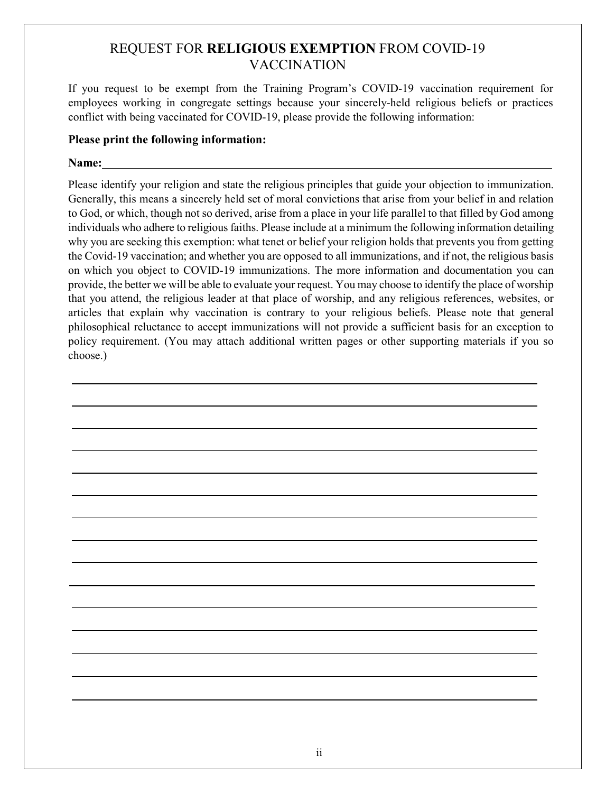# REQUEST FOR **RELIGIOUS EXEMPTION** FROM COVID-19 VACCINATION

If you request to be exempt from the Training Program's COVID-19 vaccination requirement for employees working in congregate settings because your sincerely-held religious beliefs or practices conflict with being vaccinated for COVID-19, please provide the following information:

# **Please print the following information:**

#### **Name:**

Please identify your religion and state the religious principles that guide your objection to immunization. Generally, this means a sincerely held set of moral convictions that arise from your belief in and relation to God, or which, though not so derived, arise from a place in your life parallel to that filled by God among individuals who adhere to religious faiths. Please include at a minimum the following information detailing why you are seeking this exemption: what tenet or belief your religion holds that prevents you from getting the Covid-19 vaccination; and whether you are opposed to all immunizations, and if not, the religious basis on which you object to COVID-19 immunizations. The more information and documentation you can provide, the better we will be able to evaluate your request. You may choose to identify the place of worship that you attend, the religious leader at that place of worship, and any religious references, websites, or articles that explain why vaccination is contrary to your religious beliefs. Please note that general philosophical reluctance to accept immunizations will not provide a sufficient basis for an exception to policy requirement. (You may attach additional written pages or other supporting materials if you so choose.)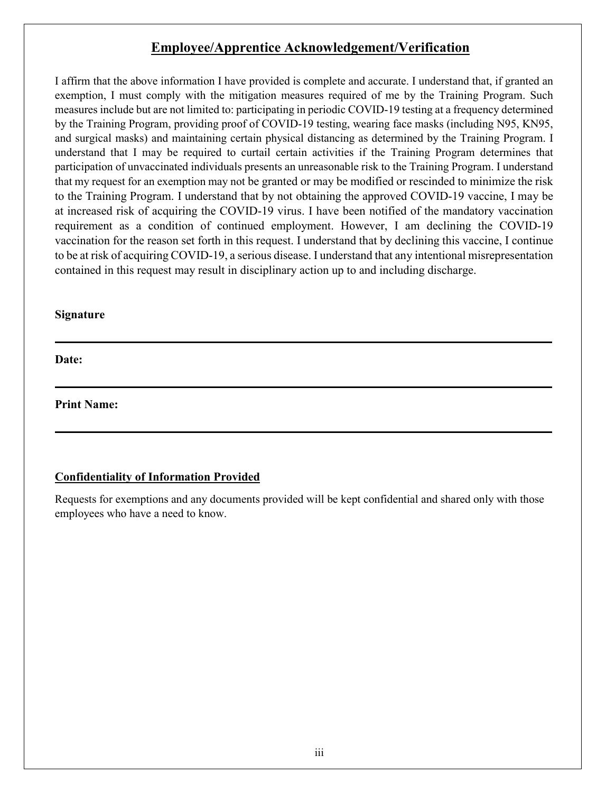# **Employee/Apprentice Acknowledgement/Verification**

I affirm that the above information I have provided is complete and accurate. I understand that, if granted an exemption, I must comply with the mitigation measures required of me by the Training Program. Such measures include but are not limited to: participating in periodic COVID-19 testing at a frequency determined by the Training Program, providing proof of COVID-19 testing, wearing face masks (including N95, KN95, and surgical masks) and maintaining certain physical distancing as determined by the Training Program. I understand that I may be required to curtail certain activities if the Training Program determines that participation of unvaccinated individuals presents an unreasonable risk to the Training Program. I understand that my request for an exemption may not be granted or may be modified or rescinded to minimize the risk to the Training Program. I understand that by not obtaining the approved COVID-19 vaccine, I may be at increased risk of acquiring the COVID-19 virus. I have been notified of the mandatory vaccination requirement as a condition of continued employment. However, I am declining the COVID-19 vaccination for the reason set forth in this request. I understand that by declining this vaccine, I continue to be at risk of acquiring COVID-19, a serious disease. I understand that any intentional misrepresentation contained in this request may result in disciplinary action up to and including discharge.

### **Signature**

**Date:**

**Print Name:** 

# **Confidentiality of Information Provided**

Requests for exemptions and any documents provided will be kept confidential and shared only with those employees who have a need to know.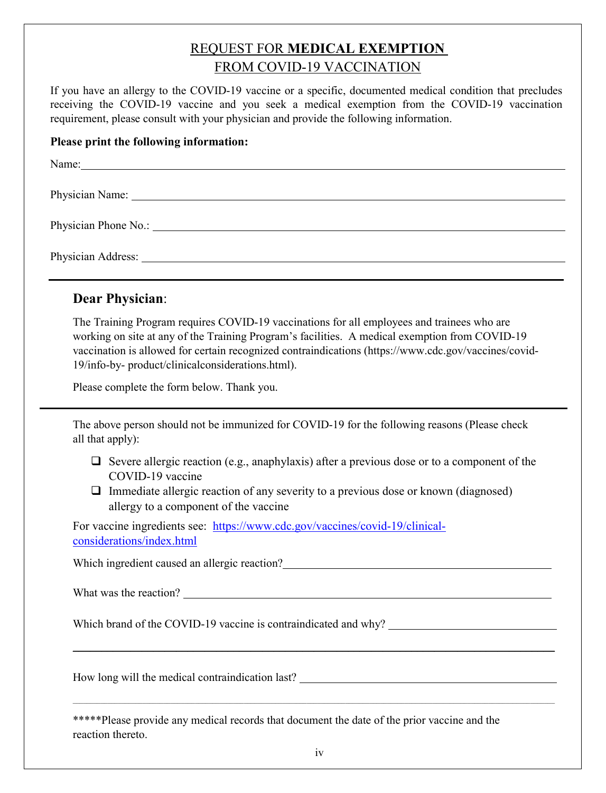# REQUEST FOR **MEDICAL EXEMPTION** FROM COVID-19 VACCINATION

If you have an allergy to the COVID-19 vaccine or a specific, documented medical condition that precludes receiving the COVID-19 vaccine and you seek a medical exemption from the COVID-19 vaccination requirement, please consult with your physician and provide the following information.

## **Please print the following information:**

| Name: Name and the set of the set of the set of the set of the set of the set of the set of the set of the set of the set of the set of the set of the set of the set of the set of the set of the set of the set of the set o |
|--------------------------------------------------------------------------------------------------------------------------------------------------------------------------------------------------------------------------------|
| Physician Name: The Contract of the Contract of the Contract of the Contract of the Contract of the Contract of the Contract of the Contract of the Contract of the Contract of the Contract of the Contract of the Contract o |
|                                                                                                                                                                                                                                |
| Physician Address: Universe of the Address of the Address of the Address of the Address of the Address of the Address of the Address of the Address of the Address of the Address of the Address of the Address of the Address |

# **Dear Physician**:

The Training Program requires COVID-19 vaccinations for all employees and trainees who are working on site at any of the Training Program's facilities. A medical exemption from COVID-19 vaccination is allowed for certain recognized contraindications (https:/[/www.cdc.gov/vaccines/covid-](http://www.cdc.gov/vaccines/covid-19/info-by-)[19/info-by-](http://www.cdc.gov/vaccines/covid-19/info-by-) product/clinicalconsiderations.html).

Please complete the form below. Thank you.

The above person should not be immunized for COVID-19 for the following reasons (Please check all that apply):

- $\Box$  Severe allergic reaction (e.g., anaphylaxis) after a previous dose or to a component of the COVID-19 vaccine
- $\Box$  Immediate allergic reaction of any severity to a previous dose or known (diagnosed) allergy to a component of the vaccine

For vaccine ingredients see: [https://www.cdc.gov/vaccines/covid-19/clinical](https://www.cdc.gov/vaccines/covid-19/clinical-considerations/index.html)[considerations/index.html](https://www.cdc.gov/vaccines/covid-19/clinical-considerations/index.html)

Which ingredient caused an allergic reaction?

What was the reaction?

Which brand of the COVID-19 vaccine is contraindicated and why?

How long will the medical contraindication last?

\*\*\*\*\*Please provide any medical records that document the date of the prior vaccine and the reaction thereto.

\_\_\_\_\_\_\_\_\_\_\_\_\_\_\_\_\_\_\_\_\_\_\_\_\_\_\_\_\_\_\_\_\_\_\_\_\_\_\_\_\_\_\_\_\_\_\_\_\_\_\_\_\_\_\_\_\_\_\_\_\_\_\_\_\_\_\_\_\_\_\_\_\_\_\_\_\_\_\_\_\_\_\_\_

 $\_$  ,  $\_$  ,  $\_$  ,  $\_$  ,  $\_$  ,  $\_$  ,  $\_$  ,  $\_$  ,  $\_$  ,  $\_$  ,  $\_$  ,  $\_$  ,  $\_$  ,  $\_$  ,  $\_$  ,  $\_$  ,  $\_$  ,  $\_$  ,  $\_$  ,  $\_$  ,  $\_$  ,  $\_$  ,  $\_$  ,  $\_$  ,  $\_$  ,  $\_$  ,  $\_$  ,  $\_$  ,  $\_$  ,  $\_$  ,  $\_$  ,  $\_$  ,  $\_$  ,  $\_$  ,  $\_$  ,  $\_$  ,  $\_$  ,